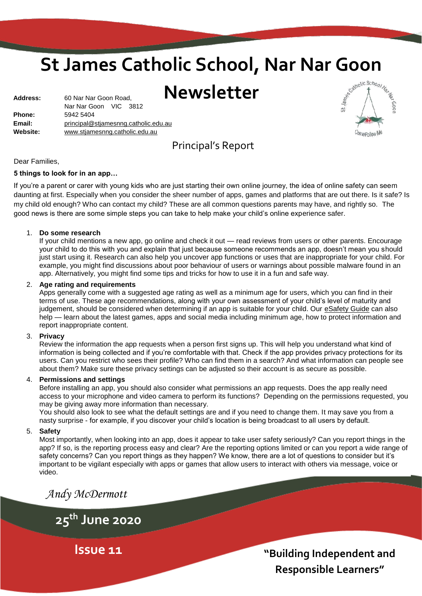# **St James Catholic School, Nar Nar Goon<br>Newsletter**

**Newsletter**

| <b>Address:</b> | 60 Nar Nar Goon Road,                |  |  |  |  |  |
|-----------------|--------------------------------------|--|--|--|--|--|
|                 | Nar Nar Goon VIC 3812                |  |  |  |  |  |
| <b>Phone:</b>   | 5942 5404                            |  |  |  |  |  |
| Email:          | principal@stjamesnng.catholic.edu.au |  |  |  |  |  |
| Website:        | www.stjamesnng.catholic.edu.au       |  |  |  |  |  |
|                 |                                      |  |  |  |  |  |



# Principal's Report

Dear Families,

### **5 things to look for in an app…**

If you're a parent or carer with young kids who are just starting their own online journey, the idea of online safety can seem daunting at first. Especially when you consider the sheer number of apps, games and platforms that are out there. Is it safe? Is my child old enough? Who can contact my child? These are all common questions parents may have, and rightly so. The good news is there are some simple steps you can take to help make your child's online experience safer.

### 1. **Do some research**

If your child mentions a new app, go online and check it out — read reviews from users or other parents. Encourage your child to do this with you and explain that just because someone recommends an app, doesn't mean you should just start using it. Research can also help you uncover app functions or uses that are inappropriate for your child. For example, you might find discussions about poor behaviour of users or warnings about possible malware found in an app. Alternatively, you might find some tips and tricks for how to use it in a fun and safe way.

### 2. **Age rating and requirements**

Apps generally come with a suggested age rating as well as a minimum age for users, which you can find in their terms of use. These age recommendations, along with your own assessment of your child's level of maturity and judgement, should be considered when determining if an app is suitable for your child. Our [eSafety Guide](https://www.esafety.gov.au/key-issues/esafety-guide) can also help — learn about the latest games, apps and social media including minimum age, how to protect information and report inappropriate content.

### 3. **Privacy**

Review the information the app requests when a person first signs up. This will help you understand what kind of information is being collected and if you're comfortable with that. Check if the app provides privacy protections for its users. Can you restrict who sees their profile? Who can find them in a search? And what information can people see about them? Make sure these privacy settings can be adjusted so their account is as secure as possible.

### 4. **Permissions and settings**

Before installing an app, you should also consider what permissions an app requests. Does the app really need access to your microphone and video camera to perform its functions? Depending on the permissions requested, you may be giving away more information than necessary.

You should also look to see what the default settings are and if you need to change them. It may save you from a nasty surprise - for example, if you discover your child's location is being broadcast to all users by default.

### 5. **Safety**

Most importantly, when looking into an app, does it appear to take user safety seriously? Can you report things in the app? If so, is the reporting process easy and clear? Are the reporting options limited or can you report a wide range of safety concerns? Can you report things as they happen? We know, there are a lot of questions to consider but it's important to be vigilant especially with apps or games that allow users to interact with others via message, voice or video.

*Andy McDermott*

**25th June 2020**

**Issue 11**

**"Building Independent and Responsible Learners"**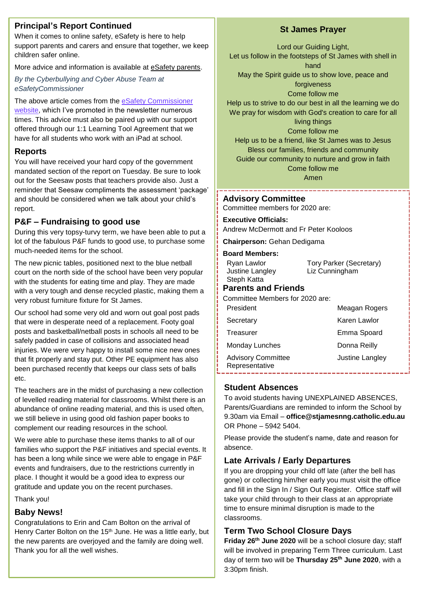# **Principal's Report Continued**

When it comes to online safety, eSafety is here to help support parents and carers and ensure that together, we keep children safer online.

More advice and information is available at [eSafety parents.](https://www.esafety.gov.au/parents)

*By the Cyberbullying and Cyber Abuse Team at eSafetyCommissioner*

The above article comes from the eSafety Commissioner [website,](https://www.esafety.gov.au/parents) which I've promoted in the newsletter numerous times. This advice must also be paired up with our support offered through our 1:1 Learning Tool Agreement that we have for all students who work with an iPad at school.

### **Reports**

You will have received your hard copy of the government mandated section of the report on Tuesday. Be sure to look out for the Seesaw posts that teachers provide also. Just a reminder that Seesaw compliments the assessment 'package' and should be considered when we talk about your child's report.

# **P&F – Fundraising to good use**

During this very topsy-turvy term, we have been able to put a lot of the fabulous P&F funds to good use, to purchase some much-needed items for the school.

The new picnic tables, positioned next to the blue netball court on the north side of the school have been very popular with the students for eating time and play. They are made with a very tough and dense recycled plastic, making them a very robust furniture fixture for St James.

Our school had some very old and worn out goal post pads that were in desperate need of a replacement. Footy goal posts and basketball/netball posts in schools all need to be safely padded in case of collisions and associated head injuries. We were very happy to install some nice new ones that fit properly and stay put. Other PE equipment has also been purchased recently that keeps our class sets of balls etc.

The teachers are in the midst of purchasing a new collection of levelled reading material for classrooms. Whilst there is an abundance of online reading material, and this is used often, we still believe in using good old fashion paper books to complement our reading resources in the school.

We were able to purchase these items thanks to all of our families who support the P&F initiatives and special events. It has been a long while since we were able to engage in P&F events and fundraisers, due to the restrictions currently in place. I thought it would be a good idea to express our gratitude and update you on the recent purchases.

Thank you!

### **Baby News!**

Congratulations to Erin and Cam Bolton on the arrival of Henry Carter Bolton on the 15<sup>th</sup> June. He was a little early, but the new parents are overjoyed and the family are doing well. Thank you for all the well wishes.

# **St James Prayer**

Lord our Guiding Light, Let us follow in the footsteps of St James with shell in hand May the Spirit guide us to show love, peace and forgiveness Come follow me Help us to strive to do our best in all the learning we do We pray for wisdom with God's creation to care for all living things Come follow me

Help us to be a friend, like St James was to Jesus Bless our families, friends and community Guide our community to nurture and grow in faith Come follow me

Amen

# **Advisory Committee**

Committee members for 2020 are:

### **Executive Officials:**

Andrew McDermott and Fr Peter Kooloos

**Chairperson:** Gehan Dedigama

### **Board Members:**

| Ryan Lawlor<br>Justine Langley<br>Steph Katta | <b>Tory Parker (Secretary)</b><br>Liz Cunningham |  |
|-----------------------------------------------|--------------------------------------------------|--|
| <b>Parents and Friends</b>                    |                                                  |  |
| Committee Members for 2020 are:               |                                                  |  |
| President                                     | Meagan Rogers                                    |  |
| Secretary                                     | Karen Lawlor                                     |  |
| Treasurer                                     | Emma Spoard                                      |  |
| Monday Lunches                                | Donna Reilly                                     |  |
| <b>Advisory Committee</b><br>Representative   | Justine Langley                                  |  |

### **Student Absences**

To avoid students having UNEXPLAINED ABSENCES, Parents/Guardians are reminded to inform the School by 9.30am via Email – **office@stjamesnng.catholic.edu.au** OR Phone – 5942 5404.

Please provide the student's name, date and reason for absence.

### **Late Arrivals / Early Departures**

If you are dropping your child off late (after the bell has gone) or collecting him/her early you must visit the office and fill in the Sign In / Sign Out Register. Office staff will take your child through to their class at an appropriate time to ensure minimal disruption is made to the classrooms.

# **Term Two School Closure Days**

2 **Friday 26th June 2020** will be a school closure day; staff will be involved in preparing Term Three curriculum. Last day of term two will be **Thursday 25th June 2020**, with a 3:30pm finish.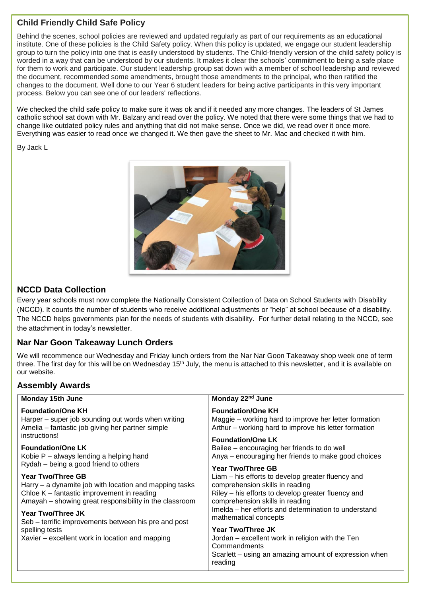# **Child Friendly Child Safe Policy**

Behind the scenes, school policies are reviewed and updated regularly as part of our requirements as an educational institute. One of these policies is the Child Safety policy. When this policy is updated, we engage our student leadership group to turn the policy into one that is easily understood by students. The Child-friendly version of the child safety policy is worded in a way that can be understood by our students. It makes it clear the schools' commitment to being a safe place for them to work and participate. Our student leadership group sat down with a member of school leadership and reviewed the document, recommended some amendments, brought those amendments to the principal, who then ratified the changes to the document. Well done to our Year 6 student leaders for being active participants in this very important process. Below you can see one of our leaders' reflections.

We checked the child safe policy to make sure it was ok and if it needed any more changes. The leaders of St James catholic school sat down with Mr. Balzary and read over the policy. We noted that there were some things that we had to change like outdated policy rules and anything that did not make sense. Once we did, we read over it once more. Everything was easier to read once we changed it. We then gave the sheet to Mr. Mac and checked it with him.

By Jack L



# **NCCD Data Collection**

Every year schools must now complete the Nationally Consistent Collection of Data on School Students with Disability (NCCD). It counts the number of students who receive additional adjustments or "help" at school because of a disability. The NCCD helps governments plan for the needs of students with disability. For further detail relating to the NCCD, see the attachment in today's newsletter.

# **Nar Nar Goon Takeaway Lunch Orders**

We will recommence our Wednesday and Friday lunch orders from the Nar Nar Goon Takeaway shop week one of term three. The first day for this will be on Wednesday 15<sup>th</sup> July, the menu is attached to this newsletter, and it is available on our website.

# **Assembly Awards**

| <b>Monday 15th June</b>                                                                                                                                                                                                                                          | Monday 22 <sup>nd</sup> June                                                                                                                                                                                                                                                                                                                                                                                          |  |  |  |
|------------------------------------------------------------------------------------------------------------------------------------------------------------------------------------------------------------------------------------------------------------------|-----------------------------------------------------------------------------------------------------------------------------------------------------------------------------------------------------------------------------------------------------------------------------------------------------------------------------------------------------------------------------------------------------------------------|--|--|--|
| <b>Foundation/One KH</b><br>Harper – super job sounding out words when writing<br>Amelia – fantastic job giving her partner simple                                                                                                                               | <b>Foundation/One KH</b><br>Maggie – working hard to improve her letter formation<br>Arthur – working hard to improve his letter formation                                                                                                                                                                                                                                                                            |  |  |  |
| instructions!<br><b>Foundation/One LK</b><br>Kobie $P -$ always lending a helping hand<br>Rydah – being a good friend to others                                                                                                                                  | <b>Foundation/One LK</b><br>Bailee – encouraging her friends to do well<br>Anya – encouraging her friends to make good choices<br>Year Two/Three GB<br>Liam – his efforts to develop greater fluency and<br>comprehension skills in reading<br>Riley – his efforts to develop greater fluency and<br>comprehension skills in reading<br>Imelda – her efforts and determination to understand<br>mathematical concepts |  |  |  |
| Year Two/Three GB<br>Harry – a dynamite job with location and mapping tasks<br>Chloe K – fantastic improvement in reading<br>Amayah – showing great responsibility in the classroom<br>Year Two/Three JK<br>Seb – terrific improvements between his pre and post |                                                                                                                                                                                                                                                                                                                                                                                                                       |  |  |  |
| spelling tests<br>Xavier – excellent work in location and mapping                                                                                                                                                                                                | Year Two/Three JK<br>Jordan – excellent work in religion with the Ten<br>Commandments<br>Scarlett – using an amazing amount of expression when<br>reading                                                                                                                                                                                                                                                             |  |  |  |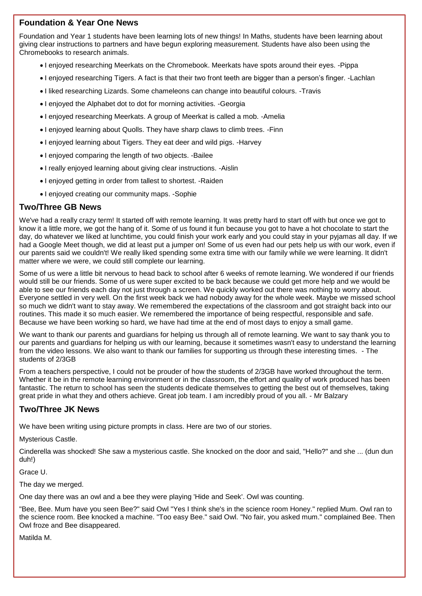# **Foundation & Year One News**

Foundation and Year 1 students have been learning lots of new things! In Maths, students have been learning about giving clear instructions to partners and have begun exploring measurement. Students have also been using the Chromebooks to research animals.

- I enjoyed researching Meerkats on the Chromebook. Meerkats have spots around their eyes. -Pippa
- I enjoyed researching Tigers. A fact is that their two front teeth are bigger than a person's finger. -Lachlan
- $\bullet$  I liked researching Lizards. Some chameleons can change into beautiful colours. -Travis
- I enjoyed the Alphabet dot to dot for morning activities. -Georgia
- I enjoyed researching Meerkats. A group of Meerkat is called a mob. -Amelia
- I enjoyed learning about Quolls. They have sharp claws to climb trees. Finn
- I enjoyed learning about Tigers. They eat deer and wild pigs. -Harvey
- I enjoyed comparing the length of two objects. -Bailee
- I really enjoyed learning about giving clear instructions. -Aislin
- I enjoyed getting in order from tallest to shortest. -Raiden
- I enjoyed creating our community maps. -Sophie

### **Two/Three GB News**

We've had a really crazy term! It started off with remote learning. It was pretty hard to start off with but once we got to know it a little more, we got the hang of it. Some of us found it fun because you got to have a hot chocolate to start the day, do whatever we liked at lunchtime, you could finish your work early and you could stay in your pyjamas all day. If we had a Google Meet though, we did at least put a jumper on! Some of us even had our pets help us with our work, even if our parents said we couldn't! We really liked spending some extra time with our family while we were learning. It didn't matter where we were, we could still complete our learning.

Some of us were a little bit nervous to head back to school after 6 weeks of remote learning. We wondered if our friends would still be our friends. Some of us were super excited to be back because we could get more help and we would be able to see our friends each day not just through a screen. We quickly worked out there was nothing to worry about. Everyone settled in very well. On the first week back we had nobody away for the whole week. Maybe we missed school so much we didn't want to stay away. We remembered the expectations of the classroom and got straight back into our routines. This made it so much easier. We remembered the importance of being respectful, responsible and safe. Because we have been working so hard, we have had time at the end of most days to enjoy a small game.

We want to thank our parents and guardians for helping us through all of remote learning. We want to say thank you to our parents and guardians for helping us with our learning, because it sometimes wasn't easy to understand the learning from the video lessons. We also want to thank our families for supporting us through these interesting times. - The students of 2/3GB

From a teachers perspective, I could not be prouder of how the students of 2/3GB have worked throughout the term. Whether it be in the remote learning environment or in the classroom, the effort and quality of work produced has been fantastic. The return to school has seen the students dedicate themselves to getting the best out of themselves, taking great pride in what they and others achieve. Great job team. I am incredibly proud of you all. - Mr Balzary

### **Two/Three JK News**

We have been writing using picture prompts in class. Here are two of our stories.

Mysterious Castle.

Cinderella was shocked! She saw a mysterious castle. She knocked on the door and said, "Hello?" and she ... (dun dun duh!)

Grace U.

The day we merged.

One day there was an owl and a bee they were playing 'Hide and Seek'. Owl was counting.

"Bee, Bee. Mum have you seen Bee?" said Owl "Yes I think she's in the science room Honey." replied Mum. Owl ran to the science room. Bee knocked a machine. "Too easy Bee." said Owl. "No fair, you asked mum." complained Bee. Then Owl froze and Bee disappeared.

Matilda M.